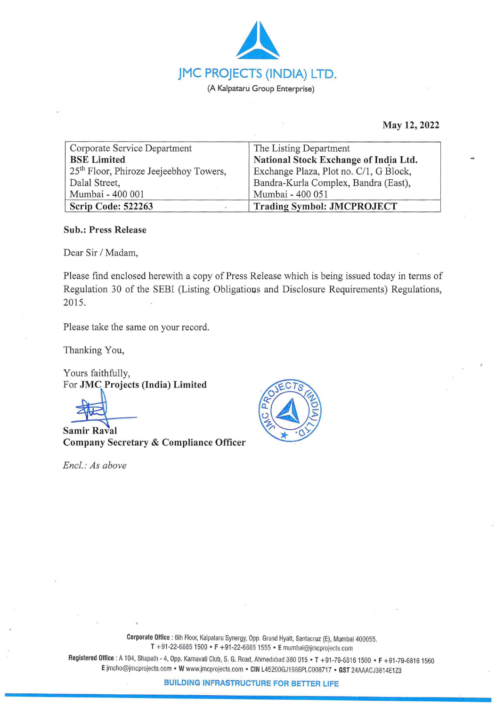

**May 12, 2022** 

| Corporate Service Department                       | The Listing Department                 |
|----------------------------------------------------|----------------------------------------|
| <b>BSE Limited</b>                                 | National Stock Exchange of India Ltd.  |
| 25 <sup>th</sup> Floor, Phiroze Jeejeebhoy Towers, | Exchange Plaza, Plot no. C/1, G Block, |
| Dalal Street,                                      | Bandra-Kurla Complex, Bandra (East),   |
| Mumbai - 400 001                                   | Mumbai - 400 051                       |
| Scrip Code: 522263                                 | <b>Trading Symbol: JMCPROJECT</b>      |

## **Sub.: Press Release**

Dear Sir / Madam,

Please find enclosed herewith a copy of Press Release which is being issued today in terms of Regulation 30 of the SEBI (Listing Obligatious and Disclosure Requirements) Regulations, 2015.

Please take the same on your record.

Thanking You,

Yours faithfully, For **JMC Projects (India) Limited** 

**Samir Raval Company Secretary** & **Compliance Officer** 

*Encl.: As above* 



**Corporate Office** : 6th Floor, Kalpataru Synergy, Opp. Grand Hyatt, Santacruz (E), Mumbai 400055. **T** +91-22-6885 1500 • **F** +91-22-6885 1555 • **E** mumbai@jmcprojects.com

**Registered Office:** A 104, Shapath - 4, Opp. Karnavati Club, S. G. Road, Ahmedabad 380 015 • **T** +91 -79-68161500 • **F** +91-79-68161560 **E** jmcho@jmcprojects.com • **W** www.jmcprojects.com • **CIN** L45200GJ1 986PLC008717 • **GST** 24AAACJ381 4E1Z3